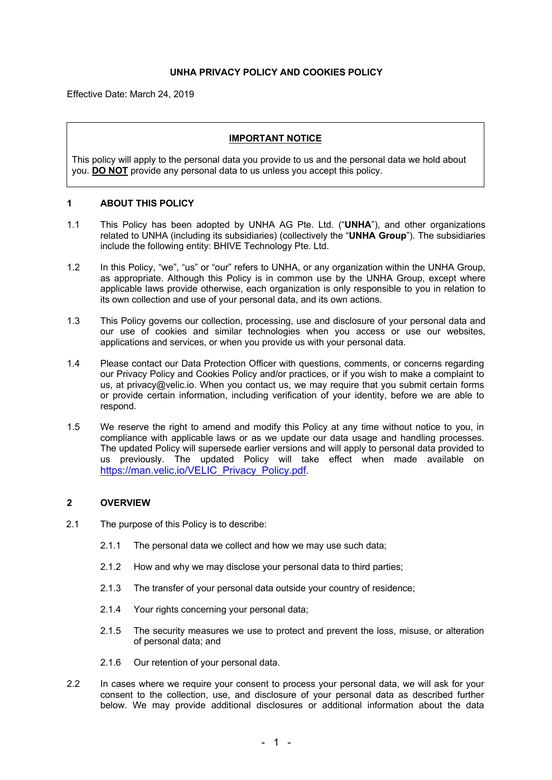# **UNHA PRIVACY POLICY AND COOKIES POLICY**

Effective Date: March 24, 2019

### **IMPORTANT NOTICE**

This policy will apply to the personal data you provide to us and the personal data we hold about you. **DO NOT** provide any personal data to us unless you accept this policy.

### **1 ABOUT THIS POLICY**

- 1.1 This Policy has been adopted by UNHA AG Pte. Ltd. ("**UNHA**"), and other organizations related to UNHA (including its subsidiaries) (collectively the "**UNHA Group**"). The subsidiaries include the following entity: BHIVE Technology Pte. Ltd.
- 1.2 In this Policy, "we", "us" or "our" refers to UNHA, or any organization within the UNHA Group, as appropriate. Although this Policy is in common use by the UNHA Group, except where applicable laws provide otherwise, each organization is only responsible to you in relation to its own collection and use of your personal data, and its own actions.
- 1.3 This Policy governs our collection, processing, use and disclosure of your personal data and our use of cookies and similar technologies when you access or use our websites, applications and services, or when you provide us with your personal data.
- 1.4 Please contact our Data Protection Officer with questions, comments, or concerns regarding our Privacy Policy and Cookies Policy and/or practices, or if you wish to make a complaint to us, at privacy@velic.io. When you contact us, we may require that you submit certain forms or provide certain information, including verification of your identity, before we are able to respond.
- 1.5 We reserve the right to amend and modify this Policy at any time without notice to you, in compliance with applicable laws or as we update our data usage and handling processes. The updated Policy will supersede earlier versions and will apply to personal data provided to us previously. The updated Policy will take effect when made available on https://man.velic.io/VELIC\_Privacy\_Policy.pdf

# **2 OVERVIEW**

- 2.1 The purpose of this Policy is to describe:
	- 2.1.1 The personal data we collect and how we may use such data;
	- 2.1.2 How and why we may disclose your personal data to third parties;
	- 2.1.3 The transfer of your personal data outside your country of residence;
	- 2.1.4 Your rights concerning your personal data;
	- 2.1.5 The security measures we use to protect and prevent the loss, misuse, or alteration of personal data; and
	- 2.1.6 Our retention of your personal data.
- 2.2 In cases where we require your consent to process your personal data, we will ask for your consent to the collection, use, and disclosure of your personal data as described further below. We may provide additional disclosures or additional information about the data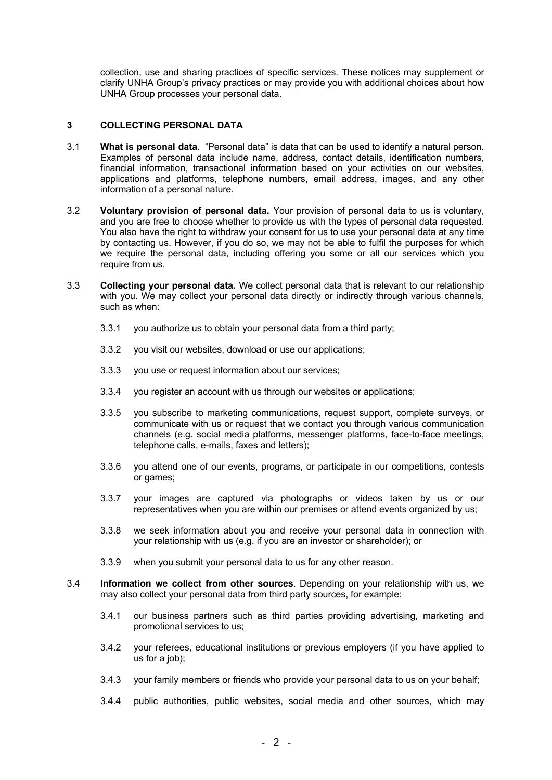collection, use and sharing practices of specific services. These notices may supplement or clarify UNHA Group's privacy practices or may provide you with additional choices about how UNHA Group processes your personal data.

# **3 COLLECTING PERSONAL DATA**

- 3.1 **What is personal data**. "Personal data" is data that can be used to identify a natural person. Examples of personal data include name, address, contact details, identification numbers, financial information, transactional information based on your activities on our websites, applications and platforms, telephone numbers, email address, images, and any other information of a personal nature.
- 3.2 **Voluntary provision of personal data.** Your provision of personal data to us is voluntary, and you are free to choose whether to provide us with the types of personal data requested. You also have the right to withdraw your consent for us to use your personal data at any time by contacting us. However, if you do so, we may not be able to fulfil the purposes for which we require the personal data, including offering you some or all our services which you require from us.
- 3.3 **Collecting your personal data.** We collect personal data that is relevant to our relationship with you. We may collect your personal data directly or indirectly through various channels, such as when:
	- 3.3.1 you authorize us to obtain your personal data from a third party;
	- 3.3.2 you visit our websites, download or use our applications;
	- 3.3.3 you use or request information about our services;
	- 3.3.4 you register an account with us through our websites or applications;
	- 3.3.5 you subscribe to marketing communications, request support, complete surveys, or communicate with us or request that we contact you through various communication channels (e.g. social media platforms, messenger platforms, face-to-face meetings, telephone calls, e-mails, faxes and letters);
	- 3.3.6 you attend one of our events, programs, or participate in our competitions, contests or games;
	- 3.3.7 your images are captured via photographs or videos taken by us or our representatives when you are within our premises or attend events organized by us;
	- 3.3.8 we seek information about you and receive your personal data in connection with your relationship with us (e.g. if you are an investor or shareholder); or
	- 3.3.9 when you submit your personal data to us for any other reason.
- 3.4 **Information we collect from other sources**. Depending on your relationship with us, we may also collect your personal data from third party sources, for example:
	- 3.4.1 our business partners such as third parties providing advertising, marketing and promotional services to us;
	- 3.4.2 your referees, educational institutions or previous employers (if you have applied to us for a job):
	- 3.4.3 your family members or friends who provide your personal data to us on your behalf;
	- 3.4.4 public authorities, public websites, social media and other sources, which may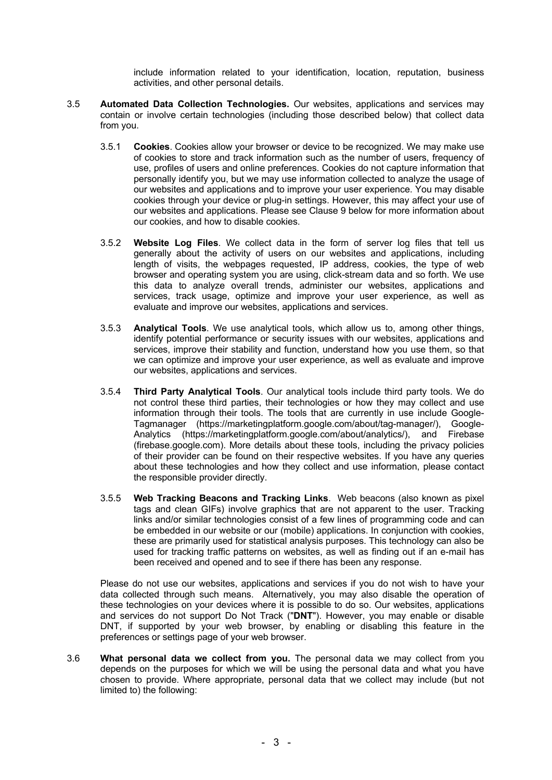include information related to your identification, location, reputation, business activities, and other personal details.

- 3.5 **Automated Data Collection Technologies.** Our websites, applications and services may contain or involve certain technologies (including those described below) that collect data from you.
	- 3.5.1 **Cookies**. Cookies allow your browser or device to be recognized. We may make use of cookies to store and track information such as the number of users, frequency of use, profiles of users and online preferences. Cookies do not capture information that personally identify you, but we may use information collected to analyze the usage of our websites and applications and to improve your user experience. You may disable cookies through your device or plug-in settings. However, this may affect your use of our websites and applications. Please see Clause 9 below for more information about our cookies, and how to disable cookies.
	- 3.5.2 **Website Log Files**. We collect data in the form of server log files that tell us generally about the activity of users on our websites and applications, including length of visits, the webpages requested, IP address, cookies, the type of web browser and operating system you are using, click-stream data and so forth. We use this data to analyze overall trends, administer our websites, applications and services, track usage, optimize and improve your user experience, as well as evaluate and improve our websites, applications and services.
	- 3.5.3 **Analytical Tools**. We use analytical tools, which allow us to, among other things, identify potential performance or security issues with our websites, applications and services, improve their stability and function, understand how you use them, so that we can optimize and improve your user experience, as well as evaluate and improve our websites, applications and services.
	- 3.5.4 **Third Party Analytical Tools**. Our analytical tools include third party tools. We do not control these third parties, their technologies or how they may collect and use information through their tools. The tools that are currently in use include Google-Tagmanager (https://marketingplatform.google.com/about/tag-manager/), Google-Analytics (https://marketingplatform.google.com/about/analytics/), and Firebase (firebase.google.com). More details about these tools, including the privacy policies of their provider can be found on their respective websites. If you have any queries about these technologies and how they collect and use information, please contact the responsible provider directly.
	- 3.5.5 **Web Tracking Beacons and Tracking Links**. Web beacons (also known as pixel tags and clean GIFs) involve graphics that are not apparent to the user. Tracking links and/or similar technologies consist of a few lines of programming code and can be embedded in our website or our (mobile) applications. In conjunction with cookies, these are primarily used for statistical analysis purposes. This technology can also be used for tracking traffic patterns on websites, as well as finding out if an e-mail has been received and opened and to see if there has been any response.

Please do not use our websites, applications and services if you do not wish to have your data collected through such means. Alternatively, you may also disable the operation of these technologies on your devices where it is possible to do so. Our websites, applications and services do not support Do Not Track ("**DNT**"). However, you may enable or disable DNT, if supported by your web browser, by enabling or disabling this feature in the preferences or settings page of your web browser.

3.6 **What personal data we collect from you.** The personal data we may collect from you depends on the purposes for which we will be using the personal data and what you have chosen to provide. Where appropriate, personal data that we collect may include (but not limited to) the following: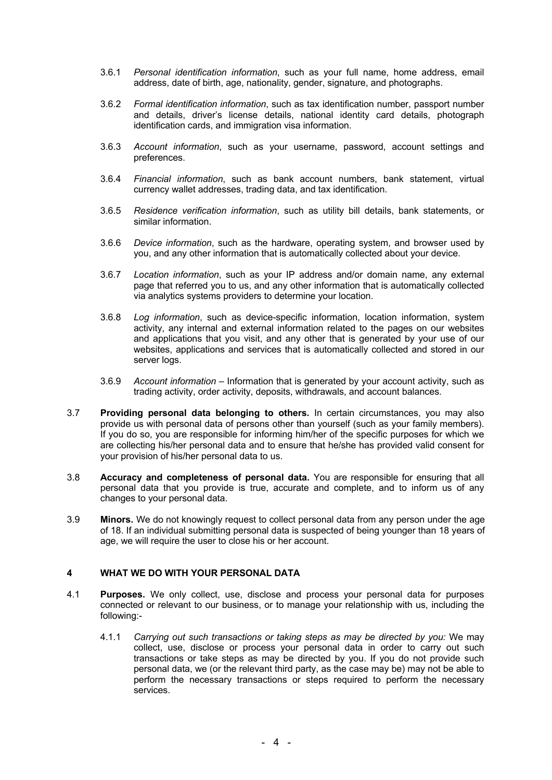- 3.6.1 *Personal identification information*, such as your full name, home address, email address, date of birth, age, nationality, gender, signature, and photographs.
- 3.6.2 *Formal identification information*, such as tax identification number, passport number and details, driver's license details, national identity card details, photograph identification cards, and immigration visa information.
- 3.6.3 *Account information*, such as your username, password, account settings and preferences.
- 3.6.4 *Financial information*, such as bank account numbers, bank statement, virtual currency wallet addresses, trading data, and tax identification.
- 3.6.5 *Residence verification information*, such as utility bill details, bank statements, or similar information.
- 3.6.6 *Device information*, such as the hardware, operating system, and browser used by you, and any other information that is automatically collected about your device.
- 3.6.7 *Location information*, such as your IP address and/or domain name, any external page that referred you to us, and any other information that is automatically collected via analytics systems providers to determine your location.
- 3.6.8 *Log information*, such as device-specific information, location information, system activity, any internal and external information related to the pages on our websites and applications that you visit, and any other that is generated by your use of our websites, applications and services that is automatically collected and stored in our server logs.
- 3.6.9 *Account information*  Information that is generated by your account activity, such as trading activity, order activity, deposits, withdrawals, and account balances.
- 3.7 **Providing personal data belonging to others.** In certain circumstances, you may also provide us with personal data of persons other than yourself (such as your family members). If you do so, you are responsible for informing him/her of the specific purposes for which we are collecting his/her personal data and to ensure that he/she has provided valid consent for your provision of his/her personal data to us.
- 3.8 **Accuracy and completeness of personal data.** You are responsible for ensuring that all personal data that you provide is true, accurate and complete, and to inform us of any changes to your personal data.
- 3.9 **Minors.** We do not knowingly request to collect personal data from any person under the age of 18. If an individual submitting personal data is suspected of being younger than 18 years of age, we will require the user to close his or her account.

# **4 WHAT WE DO WITH YOUR PERSONAL DATA**

- 4.1 **Purposes.** We only collect, use, disclose and process your personal data for purposes connected or relevant to our business, or to manage your relationship with us, including the following:-
	- 4.1.1 *Carrying out such transactions or taking steps as may be directed by you:* We may collect, use, disclose or process your personal data in order to carry out such transactions or take steps as may be directed by you. If you do not provide such personal data, we (or the relevant third party, as the case may be) may not be able to perform the necessary transactions or steps required to perform the necessary services.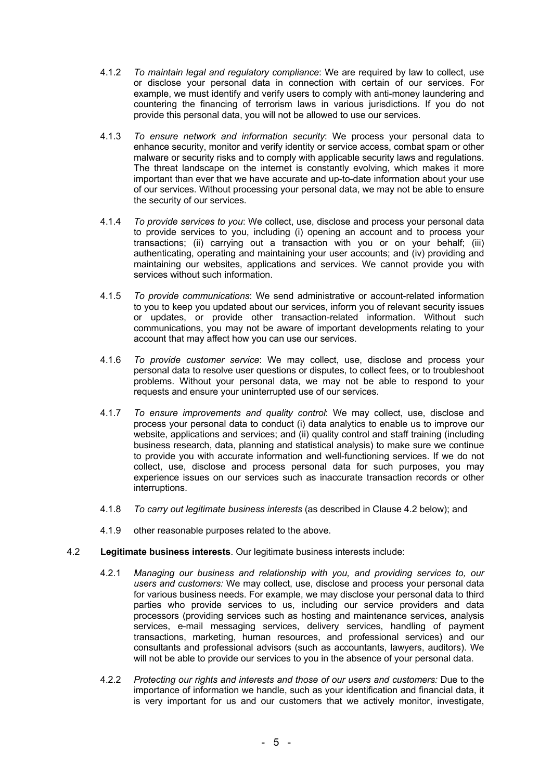- 4.1.2 *To maintain legal and regulatory compliance*: We are required by law to collect, use or disclose your personal data in connection with certain of our services. For example, we must identify and verify users to comply with anti-money laundering and countering the financing of terrorism laws in various jurisdictions. If you do not provide this personal data, you will not be allowed to use our services.
- 4.1.3 *To ensure network and information security*: We process your personal data to enhance security, monitor and verify identity or service access, combat spam or other malware or security risks and to comply with applicable security laws and regulations. The threat landscape on the internet is constantly evolving, which makes it more important than ever that we have accurate and up-to-date information about your use of our services. Without processing your personal data, we may not be able to ensure the security of our services.
- 4.1.4 *To provide services to you*: We collect, use, disclose and process your personal data to provide services to you, including (i) opening an account and to process your transactions; (ii) carrying out a transaction with you or on your behalf; (iii) authenticating, operating and maintaining your user accounts; and (iv) providing and maintaining our websites, applications and services. We cannot provide you with services without such information.
- 4.1.5 *To provide communications*: We send administrative or account-related information to you to keep you updated about our services, inform you of relevant security issues or updates, or provide other transaction-related information. Without such communications, you may not be aware of important developments relating to your account that may affect how you can use our services.
- 4.1.6 *To provide customer service*: We may collect, use, disclose and process your personal data to resolve user questions or disputes, to collect fees, or to troubleshoot problems. Without your personal data, we may not be able to respond to your requests and ensure your uninterrupted use of our services.
- 4.1.7 *To ensure improvements and quality control*: We may collect, use, disclose and process your personal data to conduct (i) data analytics to enable us to improve our website, applications and services; and (ii) quality control and staff training (including business research, data, planning and statistical analysis) to make sure we continue to provide you with accurate information and well-functioning services. If we do not collect, use, disclose and process personal data for such purposes, you may experience issues on our services such as inaccurate transaction records or other interruptions.
- 4.1.8 *To carry out legitimate business interests* (as described in Clause 4.2 below); and
- 4.1.9 other reasonable purposes related to the above.
- 4.2 **Legitimate business interests**. Our legitimate business interests include:
	- 4.2.1 *Managing our business and relationship with you, and providing services to, our users and customers:* We may collect, use, disclose and process your personal data for various business needs. For example, we may disclose your personal data to third parties who provide services to us, including our service providers and data processors (providing services such as hosting and maintenance services, analysis services, e-mail messaging services, delivery services, handling of payment transactions, marketing, human resources, and professional services) and our consultants and professional advisors (such as accountants, lawyers, auditors). We will not be able to provide our services to you in the absence of your personal data.
	- 4.2.2 *Protecting our rights and interests and those of our users and customers:* Due to the importance of information we handle, such as your identification and financial data, it is very important for us and our customers that we actively monitor, investigate,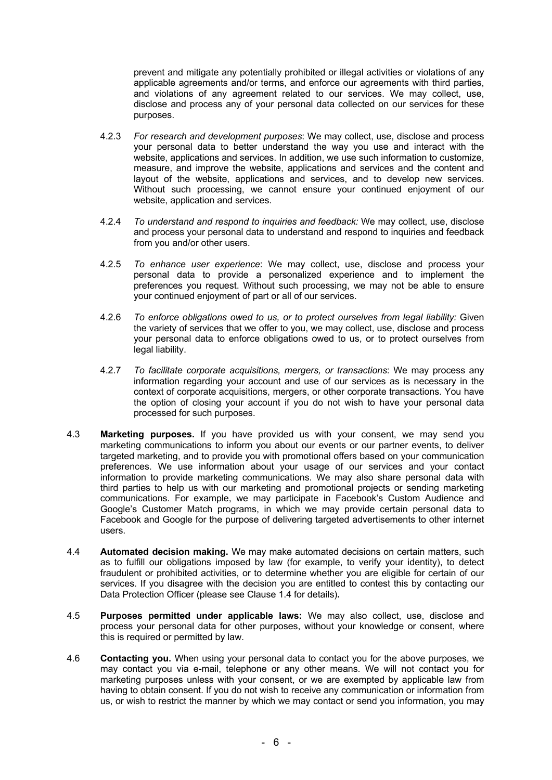prevent and mitigate any potentially prohibited or illegal activities or violations of any applicable agreements and/or terms, and enforce our agreements with third parties, and violations of any agreement related to our services. We may collect, use, disclose and process any of your personal data collected on our services for these purposes.

- 4.2.3 *For research and development purposes*: We may collect, use, disclose and process your personal data to better understand the way you use and interact with the website, applications and services. In addition, we use such information to customize, measure, and improve the website, applications and services and the content and layout of the website, applications and services, and to develop new services. Without such processing, we cannot ensure your continued enjoyment of our website, application and services.
- 4.2.4 *To understand and respond to inquiries and feedback:* We may collect, use, disclose and process your personal data to understand and respond to inquiries and feedback from you and/or other users.
- 4.2.5 *To enhance user experience*: We may collect, use, disclose and process your personal data to provide a personalized experience and to implement the preferences you request. Without such processing, we may not be able to ensure your continued enjoyment of part or all of our services.
- 4.2.6 *To enforce obligations owed to us, or to protect ourselves from legal liability:* Given the variety of services that we offer to you, we may collect, use, disclose and process your personal data to enforce obligations owed to us, or to protect ourselves from legal liability.
- 4.2.7 *To facilitate corporate acquisitions, mergers, or transactions*: We may process any information regarding your account and use of our services as is necessary in the context of corporate acquisitions, mergers, or other corporate transactions. You have the option of closing your account if you do not wish to have your personal data processed for such purposes.
- 4.3 **Marketing purposes.** If you have provided us with your consent, we may send you marketing communications to inform you about our events or our partner events, to deliver targeted marketing, and to provide you with promotional offers based on your communication preferences. We use information about your usage of our services and your contact information to provide marketing communications. We may also share personal data with third parties to help us with our marketing and promotional projects or sending marketing communications. For example, we may participate in Facebook's Custom Audience and Google's Customer Match programs, in which we may provide certain personal data to Facebook and Google for the purpose of delivering targeted advertisements to other internet users.
- 4.4 **Automated decision making.** We may make automated decisions on certain matters, such as to fulfill our obligations imposed by law (for example, to verify your identity), to detect fraudulent or prohibited activities, or to determine whether you are eligible for certain of our services. If you disagree with the decision you are entitled to contest this by contacting our Data Protection Officer (please see Clause 1.4 for details)**.**
- 4.5 **Purposes permitted under applicable laws:** We may also collect, use, disclose and process your personal data for other purposes, without your knowledge or consent, where this is required or permitted by law.
- 4.6 **Contacting you.** When using your personal data to contact you for the above purposes, we may contact you via e-mail, telephone or any other means. We will not contact you for marketing purposes unless with your consent, or we are exempted by applicable law from having to obtain consent. If you do not wish to receive any communication or information from us, or wish to restrict the manner by which we may contact or send you information, you may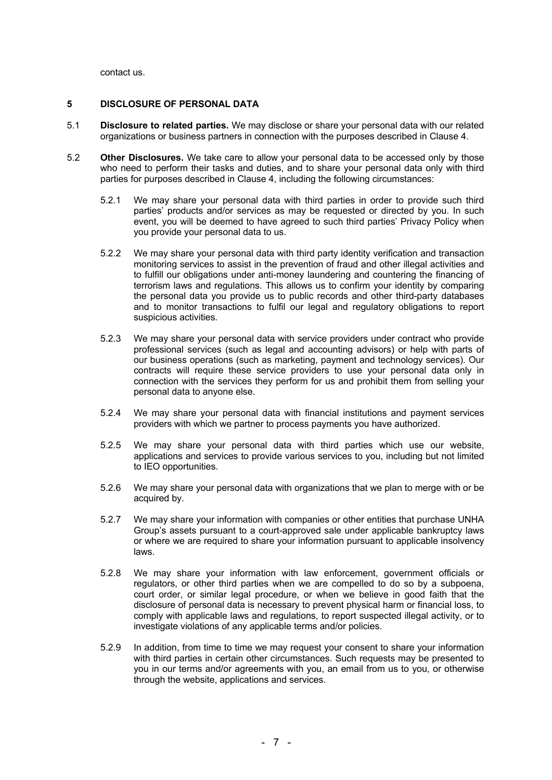contact us.

#### **5 DISCLOSURE OF PERSONAL DATA**

- 5.1 **Disclosure to related parties.** We may disclose or share your personal data with our related organizations or business partners in connection with the purposes described in Clause 4.
- 5.2 **Other Disclosures.** We take care to allow your personal data to be accessed only by those who need to perform their tasks and duties, and to share your personal data only with third parties for purposes described in Clause 4, including the following circumstances:
	- 5.2.1 We may share your personal data with third parties in order to provide such third parties' products and/or services as may be requested or directed by you. In such event, you will be deemed to have agreed to such third parties' Privacy Policy when you provide your personal data to us.
	- 5.2.2 We may share your personal data with third party identity verification and transaction monitoring services to assist in the prevention of fraud and other illegal activities and to fulfill our obligations under anti-money laundering and countering the financing of terrorism laws and regulations. This allows us to confirm your identity by comparing the personal data you provide us to public records and other third-party databases and to monitor transactions to fulfil our legal and regulatory obligations to report suspicious activities.
	- 5.2.3 We may share your personal data with service providers under contract who provide professional services (such as legal and accounting advisors) or help with parts of our business operations (such as marketing, payment and technology services). Our contracts will require these service providers to use your personal data only in connection with the services they perform for us and prohibit them from selling your personal data to anyone else.
	- 5.2.4 We may share your personal data with financial institutions and payment services providers with which we partner to process payments you have authorized.
	- 5.2.5 We may share your personal data with third parties which use our website, applications and services to provide various services to you, including but not limited to IEO opportunities.
	- 5.2.6 We may share your personal data with organizations that we plan to merge with or be acquired by.
	- 5.2.7 We may share your information with companies or other entities that purchase UNHA Group's assets pursuant to a court-approved sale under applicable bankruptcy laws or where we are required to share your information pursuant to applicable insolvency laws.
	- 5.2.8 We may share your information with law enforcement, government officials or regulators, or other third parties when we are compelled to do so by a subpoena, court order, or similar legal procedure, or when we believe in good faith that the disclosure of personal data is necessary to prevent physical harm or financial loss, to comply with applicable laws and regulations, to report suspected illegal activity, or to investigate violations of any applicable terms and/or policies.
	- 5.2.9 In addition, from time to time we may request your consent to share your information with third parties in certain other circumstances. Such requests may be presented to you in our terms and/or agreements with you, an email from us to you, or otherwise through the website, applications and services.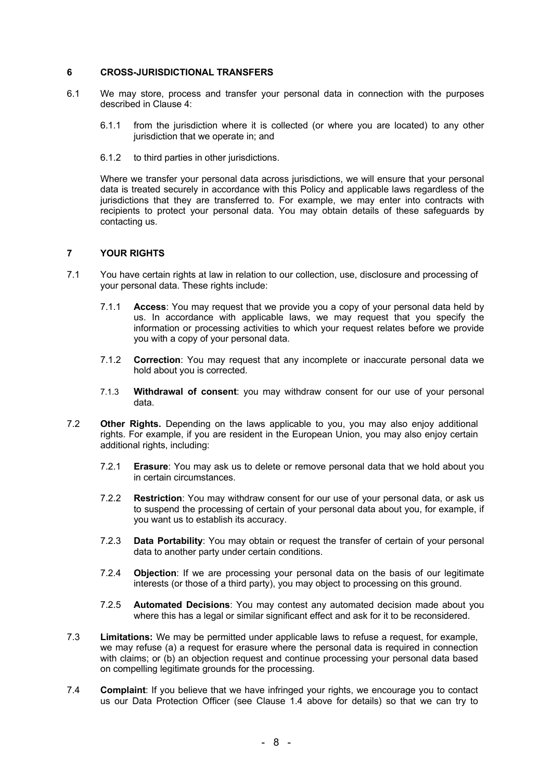### **6 CROSS-JURISDICTIONAL TRANSFERS**

- 6.1 We may store, process and transfer your personal data in connection with the purposes described in Clause 4:
	- 6.1.1 from the jurisdiction where it is collected (or where you are located) to any other jurisdiction that we operate in; and
	- 6.1.2 to third parties in other jurisdictions.

Where we transfer your personal data across jurisdictions, we will ensure that your personal data is treated securely in accordance with this Policy and applicable laws regardless of the jurisdictions that they are transferred to. For example, we may enter into contracts with recipients to protect your personal data. You may obtain details of these safeguards by contacting us.

# **7 YOUR RIGHTS**

- 7.1 You have certain rights at law in relation to our collection, use, disclosure and processing of your personal data. These rights include:
	- 7.1.1 **Access**: You may request that we provide you a copy of your personal data held by us. In accordance with applicable laws, we may request that you specify the information or processing activities to which your request relates before we provide you with a copy of your personal data.
	- 7.1.2 **Correction**: You may request that any incomplete or inaccurate personal data we hold about you is corrected.
	- 7.1.3 **Withdrawal of consent**: you may withdraw consent for our use of your personal data.
- 7.2 **Other Rights.** Depending on the laws applicable to you, you may also enjoy additional rights. For example, if you are resident in the European Union, you may also enjoy certain additional rights, including:
	- 7.2.1 **Erasure**: You may ask us to delete or remove personal data that we hold about you in certain circumstances.
	- 7.2.2 **Restriction**: You may withdraw consent for our use of your personal data, or ask us to suspend the processing of certain of your personal data about you, for example, if you want us to establish its accuracy.
	- 7.2.3 **Data Portability**: You may obtain or request the transfer of certain of your personal data to another party under certain conditions.
	- 7.2.4 **Objection**: If we are processing your personal data on the basis of our legitimate interests (or those of a third party), you may object to processing on this ground.
	- 7.2.5 **Automated Decisions**: You may contest any automated decision made about you where this has a legal or similar significant effect and ask for it to be reconsidered.
- 7.3 **Limitations:** We may be permitted under applicable laws to refuse a request, for example, we may refuse (a) a request for erasure where the personal data is required in connection with claims; or (b) an objection request and continue processing your personal data based on compelling legitimate grounds for the processing.
- 7.4 **Complaint**: If you believe that we have infringed your rights, we encourage you to contact us our Data Protection Officer (see Clause 1.4 above for details) so that we can try to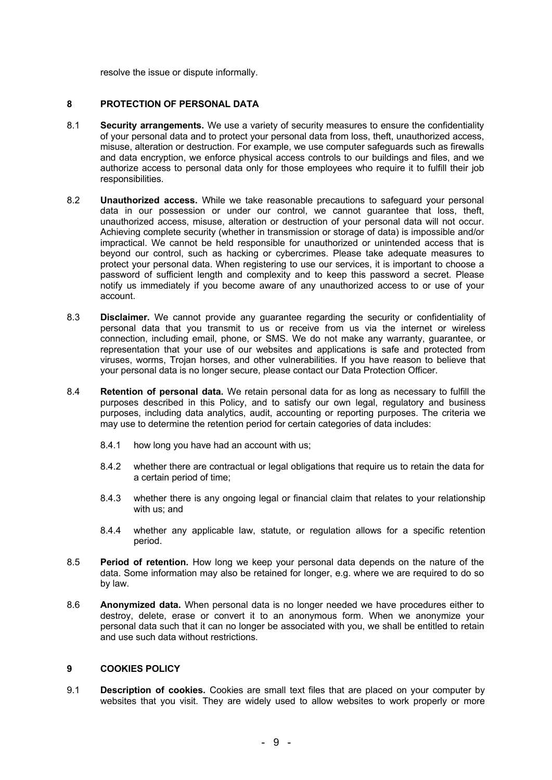resolve the issue or dispute informally.

# **8 PROTECTION OF PERSONAL DATA**

- 8.1 **Security arrangements.** We use a variety of security measures to ensure the confidentiality of your personal data and to protect your personal data from loss, theft, unauthorized access, misuse, alteration or destruction. For example, we use computer safeguards such as firewalls and data encryption, we enforce physical access controls to our buildings and files, and we authorize access to personal data only for those employees who require it to fulfill their job responsibilities.
- 8.2 **Unauthorized access.** While we take reasonable precautions to safeguard your personal data in our possession or under our control, we cannot guarantee that loss, theft, unauthorized access, misuse, alteration or destruction of your personal data will not occur. Achieving complete security (whether in transmission or storage of data) is impossible and/or impractical. We cannot be held responsible for unauthorized or unintended access that is beyond our control, such as hacking or cybercrimes. Please take adequate measures to protect your personal data. When registering to use our services, it is important to choose a password of sufficient length and complexity and to keep this password a secret. Please notify us immediately if you become aware of any unauthorized access to or use of your account.
- 8.3 **Disclaimer.** We cannot provide any guarantee regarding the security or confidentiality of personal data that you transmit to us or receive from us via the internet or wireless connection, including email, phone, or SMS. We do not make any warranty, guarantee, or representation that your use of our websites and applications is safe and protected from viruses, worms, Trojan horses, and other vulnerabilities. If you have reason to believe that your personal data is no longer secure, please contact our Data Protection Officer.
- 8.4 **Retention of personal data.** We retain personal data for as long as necessary to fulfill the purposes described in this Policy, and to satisfy our own legal, regulatory and business purposes, including data analytics, audit, accounting or reporting purposes. The criteria we may use to determine the retention period for certain categories of data includes:
	- 8.4.1 how long you have had an account with us;
	- 8.4.2 whether there are contractual or legal obligations that require us to retain the data for a certain period of time;
	- 8.4.3 whether there is any ongoing legal or financial claim that relates to your relationship with us; and
	- 8.4.4 whether any applicable law, statute, or regulation allows for a specific retention period.
- 8.5 **Period of retention.** How long we keep your personal data depends on the nature of the data. Some information may also be retained for longer, e.g. where we are required to do so by law.
- 8.6 **Anonymized data.** When personal data is no longer needed we have procedures either to destroy, delete, erase or convert it to an anonymous form. When we anonymize your personal data such that it can no longer be associated with you, we shall be entitled to retain and use such data without restrictions.

# **9 COOKIES POLICY**

9.1 **Description of cookies.** Cookies are small text files that are placed on your computer by websites that you visit. They are widely used to allow websites to work properly or more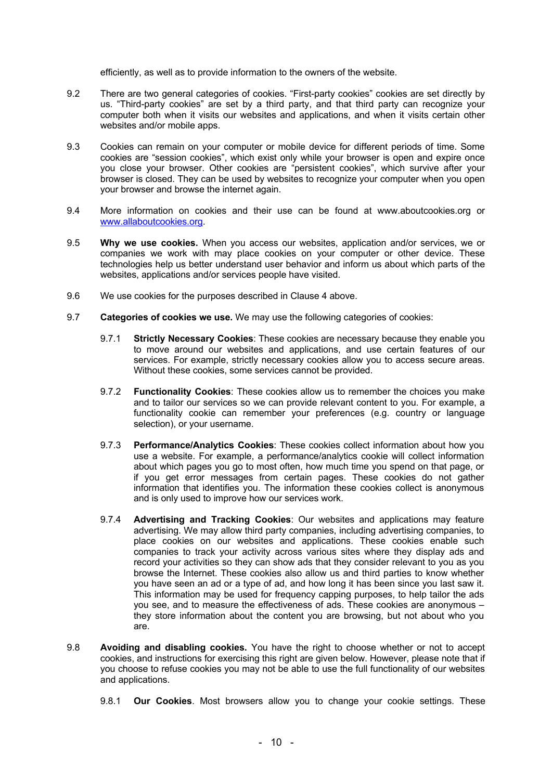efficiently, as well as to provide information to the owners of the website.

- 9.2 There are two general categories of cookies. "First-party cookies" cookies are set directly by us. "Third-party cookies" are set by a third party, and that third party can recognize your computer both when it visits our websites and applications, and when it visits certain other websites and/or mobile apps.
- 9.3 Cookies can remain on your computer or mobile device for different periods of time. Some cookies are "session cookies", which exist only while your browser is open and expire once you close your browser. Other cookies are "persistent cookies", which survive after your browser is closed. They can be used by websites to recognize your computer when you open your browser and browse the internet again.
- 9.4 More information on cookies and their use can be found at www.aboutcookies.org or www.allaboutcookies.org.
- 9.5 **Why we use cookies.** When you access our websites, application and/or services, we or companies we work with may place cookies on your computer or other device. These technologies help us better understand user behavior and inform us about which parts of the websites, applications and/or services people have visited.
- 9.6 We use cookies for the purposes described in Clause 4 above.
- 9.7 **Categories of cookies we use.** We may use the following categories of cookies:
	- 9.7.1 **Strictly Necessary Cookies**: These cookies are necessary because they enable you to move around our websites and applications, and use certain features of our services. For example, strictly necessary cookies allow you to access secure areas. Without these cookies, some services cannot be provided.
	- 9.7.2 **Functionality Cookies**: These cookies allow us to remember the choices you make and to tailor our services so we can provide relevant content to you. For example, a functionality cookie can remember your preferences (e.g. country or language selection), or your username.
	- 9.7.3 **Performance/Analytics Cookies**: These cookies collect information about how you use a website. For example, a performance/analytics cookie will collect information about which pages you go to most often, how much time you spend on that page, or if you get error messages from certain pages. These cookies do not gather information that identifies you. The information these cookies collect is anonymous and is only used to improve how our services work.
	- 9.7.4 **Advertising and Tracking Cookies**: Our websites and applications may feature advertising. We may allow third party companies, including advertising companies, to place cookies on our websites and applications. These cookies enable such companies to track your activity across various sites where they display ads and record your activities so they can show ads that they consider relevant to you as you browse the Internet. These cookies also allow us and third parties to know whether you have seen an ad or a type of ad, and how long it has been since you last saw it. This information may be used for frequency capping purposes, to help tailor the ads you see, and to measure the effectiveness of ads. These cookies are anonymous – they store information about the content you are browsing, but not about who you are.
- 9.8 **Avoiding and disabling cookies.** You have the right to choose whether or not to accept cookies, and instructions for exercising this right are given below. However, please note that if you choose to refuse cookies you may not be able to use the full functionality of our websites and applications.
	- 9.8.1 **Our Cookies**. Most browsers allow you to change your cookie settings. These